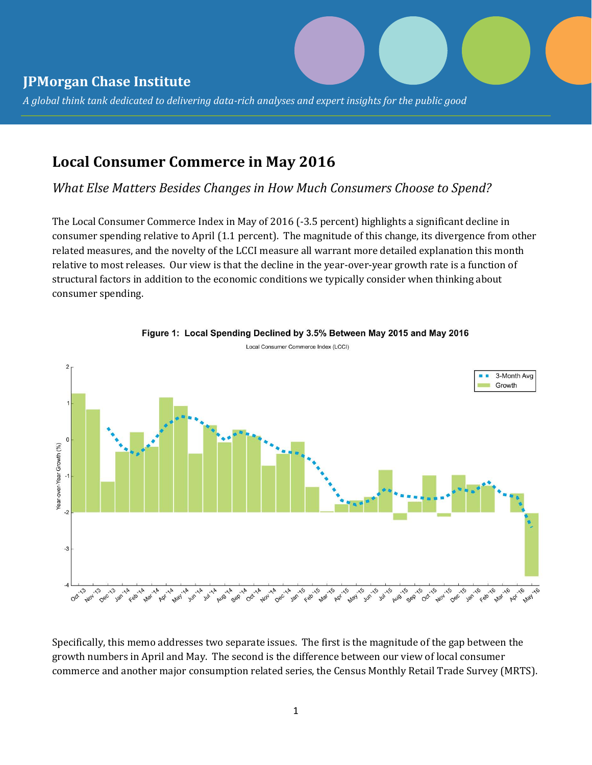# **JPMorgan Chase Institute**

*A global think tank dedicated to delivering data-rich analyses and expert insights for the public good* 

# **Local Consumer Commerce in May 2016**

*What Else Matters Besides Changes in How Much Consumers Choose to Spend?*

The Local Consumer Commerce Index in May of 2016 (-3.5 percent) highlights a significant decline in consumer spending relative to April (1.1 percent). The magnitude of this change, its divergence from other related measures, and the novelty of the LCCI measure all warrant more detailed explanation this month relative to most releases. Our view is that the decline in the year-over-year growth rate is a function of structural factors in addition to the economic conditions we typically consider when thinking about consumer spending.



Figure 1: Local Spending Declined by 3.5% Between May 2015 and May 2016 Local Consumer Commerce Index (LCCI)

Specifically, this memo addresses two separate issues. The first is the magnitude of the gap between the growth numbers in April and May. The second is the difference between our view of local consumer commerce and another major consumption related series, the Census Monthly Retail Trade Survey (MRTS).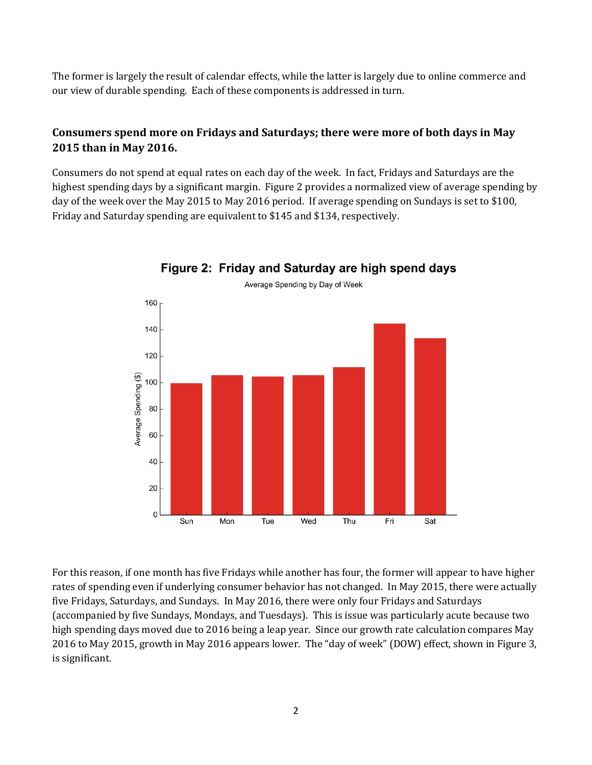The former is largely the result of calendar effects, while the latter is largely due to online commerce and our view of durable spending. Each of these components is addressed in turn.

## **Consumers spend more on Fridays and Saturdays; there were more of both days in May 2015 than in May 2016.**

Consumers do not spend at equal rates on each day of the week. In fact, Fridays and Saturdays are the highest spending days by a significant margin. Figure 2 provides a normalized view of average spending by day of the week over the May 2015 to May 2016 period. If average spending on Sundays is set to \$100, Friday and Saturday spending are equivalent to \$145 and \$134, respectively.



### Figure 2: Friday and Saturday are high spend days

For this reason, if one month has five Fridays while another has four, the former will appear to have higher rates of spending even if underlying consumer behavior has not changed. In May 2015, there were actually five Fridays, Saturdays, and Sundays. In May 2016, there were only four Fridays and Saturdays (accompanied by five Sundays, Mondays, and Tuesdays). This is issue was particularly acute because two high spending days moved due to 2016 being a leap year. Since our growth rate calculation compares May 2016 to May 2015, growth in May 2016 appears lower. The "day of week" (DOW) effect, shown in Figure 3, is significant.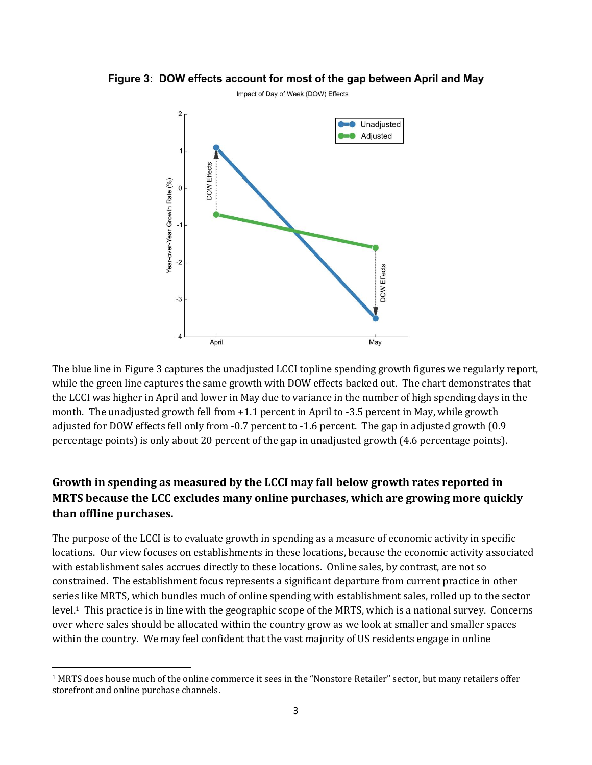

Figure 3: DOW effects account for most of the gap between April and May

The blue line in Figure 3 captures the unadjusted LCCI topline spending growth figures we regularly report, while the green line captures the same growth with DOW effects backed out. The chart demonstrates that the LCCI was higher in April and lower in May due to variance in the number of high spending days in the month. The unadjusted growth fell from +1.1 percent in April to -3.5 percent in May, while growth adjusted for DOW effects fell only from -0.7 percent to -1.6 percent. The gap in adjusted growth (0.9 percentage points) is only about 20 percent of the gap in unadjusted growth (4.6 percentage points).

### **Growth in spending as measured by the LCCI may fall below growth rates reported in MRTS because the LCC excludes many online purchases, which are growing more quickly than offline purchases.**

The purpose of the LCCI is to evaluate growth in spending as a measure of economic activity in specific locations. Our view focuses on establishments in these locations, because the economic activity associated with establishment sales accrues directly to these locations. Online sales, by contrast, are not so constrained. The establishment focus represents a significant departure from current practice in other series like MRTS, which bundles much of online spending with establishment sales, rolled up to the sector level.1 This practice is in line with the geographic scope of the MRTS, which is a national survey. Concerns over where sales should be allocated within the country grow as we look at smaller and smaller spaces within the country. We may feel confident that the vast majority of US residents engage in online

<sup>1</sup> MRTS does house much of the online commerce it sees in the "Nonstore Retailer" sector, but many retailers offer storefront and online purchase channels.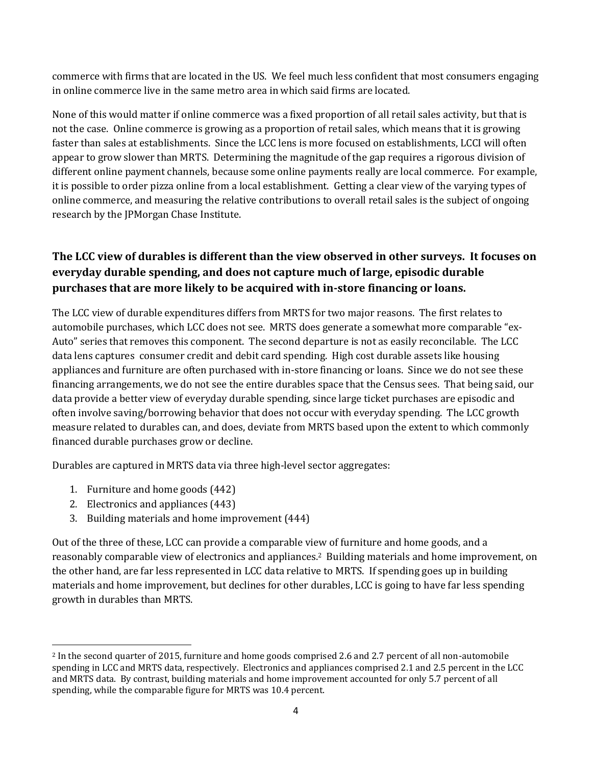commerce with firms that are located in the US. We feel much less confident that most consumers engaging in online commerce live in the same metro area in which said firms are located.

None of this would matter if online commerce was a fixed proportion of all retail sales activity, but that is not the case. Online commerce is growing as a proportion of retail sales, which means that it is growing faster than sales at establishments. Since the LCC lens is more focused on establishments, LCCI will often appear to grow slower than MRTS. Determining the magnitude of the gap requires a rigorous division of different online payment channels, because some online payments really are local commerce. For example, it is possible to order pizza online from a local establishment. Getting a clear view of the varying types of online commerce, and measuring the relative contributions to overall retail sales is the subject of ongoing research by the JPMorgan Chase Institute.

## **The LCC view of durables is different than the view observed in other surveys. It focuses on everyday durable spending, and does not capture much of large, episodic durable purchases that are more likely to be acquired with in-store financing or loans.**

The LCC view of durable expenditures differs from MRTS for two major reasons. The first relates to automobile purchases, which LCC does not see. MRTS does generate a somewhat more comparable "ex-Auto" series that removes this component. The second departure is not as easily reconcilable. The LCC data lens captures consumer credit and debit card spending. High cost durable assets like housing appliances and furniture are often purchased with in-store financing or loans. Since we do not see these financing arrangements, we do not see the entire durables space that the Census sees. That being said, our data provide a better view of everyday durable spending, since large ticket purchases are episodic and often involve saving/borrowing behavior that does not occur with everyday spending. The LCC growth measure related to durables can, and does, deviate from MRTS based upon the extent to which commonly financed durable purchases grow or decline.

Durables are captured in MRTS data via three high-level sector aggregates:

- 1. Furniture and home goods (442)
- 2. Electronics and appliances (443)

 $\overline{a}$ 

3. Building materials and home improvement (444)

Out of the three of these, LCC can provide a comparable view of furniture and home goods, and a reasonably comparable view of electronics and appliances.2 Building materials and home improvement, on the other hand, are far less represented in LCC data relative to MRTS. If spending goes up in building materials and home improvement, but declines for other durables, LCC is going to have far less spending growth in durables than MRTS.

<sup>2</sup> In the second quarter of 2015, furniture and home goods comprised 2.6 and 2.7 percent of all non-automobile spending in LCC and MRTS data, respectively. Electronics and appliances comprised 2.1 and 2.5 percent in the LCC and MRTS data. By contrast, building materials and home improvement accounted for only 5.7 percent of all spending, while the comparable figure for MRTS was 10.4 percent.